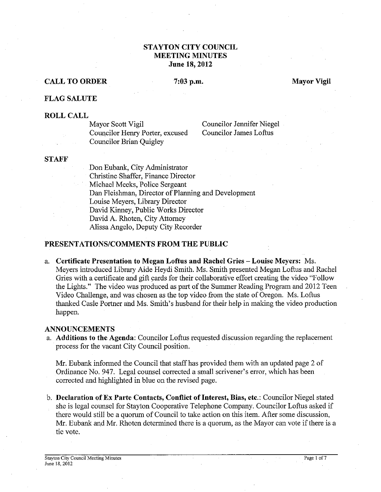# **STAYTON CITY COUNCIL MEETING MINUTES June 18,2012**

# **CALL TO ORDER** 7:03 p.m. Mayor Vigil

### **FLAG SALUTE**

**ROLL CALL**  Councilor Henry Porter, excused Councilor Brian Quigley

Councilor Jennifer Niegel<br>Councilor James Loftus

# **STAFF**

Don Eubank, City Administrator Christine Shaffer, Finance Director Michael Meeks, Police Sergeant Dan Fleishman, Director of Planning and Development Louise Meyers, Library Director David Kinney, Public Works Director David A. Rhoten, City Attorney Alissa Angelo, Deputy City Recorder

# **PRESENTATIONSICOMMENTS FROM THE PUBLIC**

a. **Certificate Presentation to Megan Loftus and Rachel Gries -Louise Meyers:** Ms. Meyers introduced Library Aide Heydi Smith. Ms. Smith presented Megan Loftus and Rachel Gries with a certificate and gift cards for their collaborative effort creating the video "Follow the Lights." The video was produced as part of the Summer Reading Program and 2012 Teen Video Challenge, and was chosen as the top video from the state of Oregon. Ms. Loftus thanked Casle Portner and Ms. Smith's husband for their help in making the video production happen.

## **ANNOUNCEMENTS**

a. **Additions to the Agenda:** Councilor Loftus requested discussion regarding the replacement process for the vacant City Council position.

Mr. Eubank informed the Council that staff has provided them with an updated page 2 of Ordinance No. 947. Legal counsel corrected a small scrivener's error, which has been corrected and highlighted in blue on the revised page.

b. **Declaration of Ex Parte Contacts, Conflict of Interest, Bias, etc.:** Councilor Niegel stated she is legal counsel for Stayton Cooperative Telephone Company. Councilor Loftus asked if there would still be a quorum of Council to take action on this item. After some discussion, Mr. Eubank and Mr. Rhoten determined there is a quorum, as the Mayor can vote if there is a tie vote.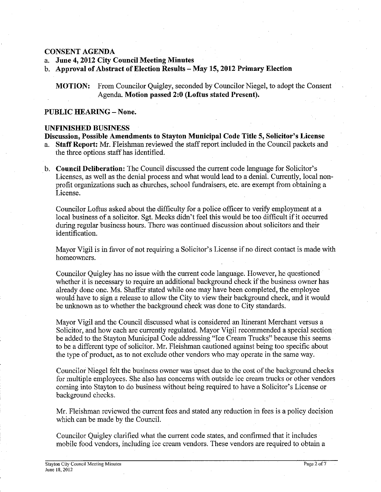## **CONSENT AGENDA**

- a. **June 4,2012 City Council Meeting Minutes**
- b. **Approval of Abstract of Election Results -May 15,2012 Primary Election**

**MOTION:** From Councilor Quigley, seconded by Councilor Niegel, to adopt the Consent Agenda. **Motion passed 2:O (Loftus stated Present).** 

# PUBLIC HEARING - None.

#### **UNFINISHED BUSINESS**

**Discussion, Possible Amendments to Stayton Municipal Code Title 5, Solicitor's License**  a. **Staff Report:** Mr. Fleishman reviewed the staff report included in the Council packets and the three options staff has identified.

b. **Council Deliberation:** The Council discussed the current code language for Solicitor's Licenses, as well as the denial process and what would lead to a denial. Currently, local nonprofit organizations such as churches, school fimdraisers, etc. are exempt from obtaining a License.

Councilor Loftus asked about the difficulty for a police officer to verify employment at a local business of a solicitor. Sgt. Meeks didn't feel this would be too difficult if it occurred during regular business hours. There was continued discussion about solicitors and their identification.

Mayor Vigil is in favor of not requiring a Solicitor's License if no direct contact is made with homeowners.

Councilor Quigley has no issue with the current code language. However, he questioned whether it is necessary to require an additional background check if the business owner has already done one. Ms. Shaffer stated while one may have been completed, the employee would have to sign a release to allow the City to view their background check, and it would be unknown as to whether the background check was done to City standards.

Mayor Vigil and the Council discussed what is considered an Itinerant Merchant versus a Solicitor, and how each are currently regulated. Mayor Vigil recommended a special section be added to the Stayton Municipal Code addressing "Ice Cream Trucks" because this seems to be a different type of solicitor. Mr. Fleishman cautioned against being too specific about the type of product, as to not exclude other vendors who may operate in the same way.

Councilor Niegel felt the business owner was upset due to the cost of the background checks for multiple employees. She also has concerns with outside ice cream trucks or other vendors coming into Stayton to do business without being required to have a Solicitor's License or background checks.

Mr. Fleishman reviewed the current fees and stated any reduction in fees is a policy decision which can be made by the Council.

Councilor Quigley clarified what the current code states, and confirmed that it includes mobile food vendors, including ice cream vendors. These vendors are required to obtain a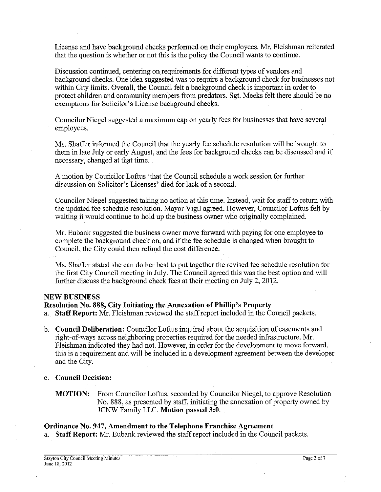*License and have background checks performed on their employees. Mr. Fleishman reiterated that the question is whether or not this is the policy the Council wants to continue.* 

*Discussion continued, centering on requirements for different types of vendors and*  background checks. One idea suggested was to require a background check for businesses not within City limits. Overall, the Council felt a background check is important in order to *protect children and community members from predators. Sgt. Meeks felt there should be no exemptions for Solicitor's License background checks.* 

*Councilor Niegel suggested a maximum cap on yearly fees for businesses that have several employees.* 

*Ms. Shaffer informed the Council that the yearly fee schedule resolution will be brought to them in late July or early August, and the fees for background checks can be discussed and if necessary, changed at that time.* 

*A motion by Councilor Loftus 'that the Council schedule a work session for further discussion on Solicitor's Licenses' died for lack of a second.* 

*Councilor Niegel suggested taking no action at this time. Instead, wait for staff to return with the updated fee schedule resolution. Mayor Vigil agreed. However, Councilor Loftus felt by waiting it would continue to hold up the business owner who originally complained.* 

*Mr. Eubank suggested the business owner move forward with paying for one employee to complete the background check on, and if the fee schedule is changed when brought to Council, the City could then refund the cost difference.* 

*Ms. Shaffer stated she can do her best to put together the revised fee schedule resolution for the first City Council meeting in July. The Council agreed this was the best option and will further discuss the background check fees at their meeting on July 2,2012.* 

### **NEW BUSINESS**

# **Resolution No. 888, City Initiating the Annexation of Phillip's Property**

*a.* **Staff Report:** *Mr. Fleishman reviewed the staff report included in the Council packets.* 

- *b.* **Council Deliberation:** *Councilor Loftus inquired about the acquisition of easements and right-of-ways across neighboring properties required for the needed infrastructure. Mr. Fleishman indicated they had not. However, in order for the development to move forward, this is a requirement and will be included in a development agreement between the developer and the City.*
- *c.* **Council Decision:** 
	- **MOTION:** *From Councilor Loftus, seconded by Councilor Niegel, to approve Resolution No.* 888, *as presented by staff, initiating the annexation of property owned by JCNW Family LLC.* **Motion passed** *3:O.*

### **Ordinance No. 947, Amendment to the Telephone Franchise Agreement**

*a.* **Staff Report:** *Mr. Eubank reviewed the staff report included in the Council packets.*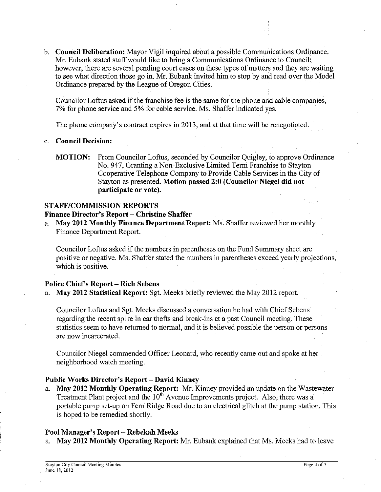b. **Council Deliberation:** Mayor Vigil inquired about a possible Communications Ordinance. Mr. Eubank stated staffwould like to bring a Communications Ordmance to Council: however, there are several pending court cases on these types of matters and they are waiting to see what direction those go in. Mr. Eubank invited him to stop by and read over the Model Ordinance prepared by the League of Oregon Cities.

Councilor Loftus asked if the franchise fee is the same for the phone and cable companies, 7% for phone service and 5% for cable service. Ms. Shaffer indicated yes.

The phone company's contract expires in 2013, and at that time will be renegotiated.

#### c. **Council Decision:**

**MOTION:** From Councilor Loftus, seconded by Councilor Quigley, to approve Ordinance No. 947, Granting a Non-Exclusive Limited Term Franchise to Stayton Cooperative Telephone Company to Provide Cable Services in the City of Stayton as presented. **Motion passed 2:O (Councilor Niegel did not participate or vote).** 

## **STAFFICOMMISSION REPORTS**

**Finance Director's Report – Christine Shaffer** 

a. **May 2012 Monthly Finance Department Report:** Ms. Shaffer reviewed her monthly Finance Department Report.

Councilor Loftus asked if the numbers in parentheses on the Fund Summary sheet are positive or negative. Ms. Shaffer stated the numbers in parentheses exceed yearly projections, which is positive.

## **Police Chief's Report** - **Rich Sebens**

a. **May 2012 Statistical Report:** Sgt. Meeks briefly reviewed the May 2012 report.

Councilor Loftus and Sgt. Meeks discussed a conversation he had with Chief Sebens regarding the recent spike in car thefts and break-ins at a past Council meeting. These statistics seem to have returned to normal, and it is believed possible the person or persons are now incarcerated.

Councilor Niegel commended Officer Leonard, who recently came out and spoke at her neighborhood watch meeting.

## **Public Works Director's Report** - **David Kinney**

a. **May 2012 Monthly Operating Report:** Mr. Kinney provided an update on the Wastewater Treatment Plant project and the 10" Avenue Improvements project. Also, there was a portable pump set-up on Fern Ridge Road due to an electrical glitch at the pump station. This is hoped to be remedied shortly.

## **Pool Manager's Report** - **Rebekah Meeks**

a. **May 2012 Monthly Operating Report:** Mr. Eubank explained that Ms. Meeks had to leave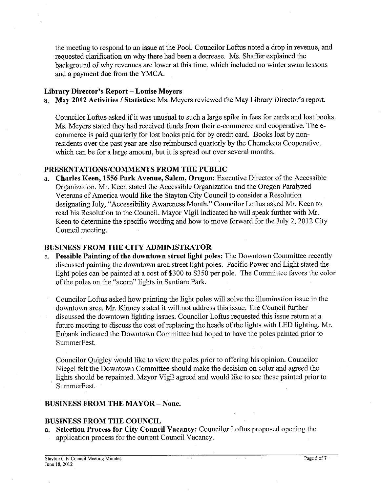the meeting to respond to an issue at the Pool. Councilor Loftus noted a drop in revenue, and requested clarification on why there had been a decrease. Ms. Shaffer explained the background of why revenues are lower at this time, which included no winter swim lessons and a payment due from the YMCA.

# Library Director's Report - Louise Meyers

a. **May 2012 Activities I Statistics:** Ms. Meyers reviewed the May Library Director's report.

Councilor Loftus asked if it was unusual to such a large spike in fees for cards and lost books. Ms. Meyers stated they had received funds from their e-commerce and cooperative. The ecommerce is paid quarterly for lost books paid for by credit card. Books lost by nonresidents over the past year are also reimbursed quarterly by the Chemeketa cooperative, which can be for a large amount, hut it is spread out over several months.

# **PRESENTATIONSICOMMENTS FROM THE PUBLIC**

a. **Charles Keen, 1556 Park Avenue, Salem, Oregon:** Executive Director of the Accessible Organization. Mr. Keen stated the Accessible Organization and the Oregon Paralyzed Veterans of America would like the Stayton City Council to consider a Resolution designating July, "Accessibility Awareness Month." Councilor Loftus asked Mr. Keen to read his Resolution to the Council. Mayor Vigil indicated he will speak further with Mr. Keen to determine the specific wording and how to move forward for the July 2, 2012 City Council meeting.

# **BUSINESS FROM THE CITY ADMINISTRATOR**

a. **Possible Painting of the downtown street light poles:** The Downtown Committee recently discussed painting the downtown area street light poles. Pacific Power and Light stated the light poles can be painted at a cost of \$300 to \$350 per pole. The Committee favors the color of the poles on the "acorn" lights in Santiam Park.

Councilor Loftus asked how painting the light poles will solve the illumination issue in the downtown area. Mr. Kinney stated it will not address this issue. The Council further discussed the downtown lighting issues. Councilor Loftus requested this issue return at a future meeting to discuss the cost of replacing the heads of the lights with LED lighting. Mr. Eubank indicated the Downtown Committee had hoped to have the poles painted prior to SummerFest.

Councilor Quigley would like to view the poles prior to offering his opinion. Councilor Niegel felt the Downtown Committee should make the decision on color and agreed the lights should he repainted. Mayor Vigil agreed and would like to see these painted prior to SummerFest.

# **BUSINESS FROM THE MAYOR** - **None.**

# **BUSINESS FROM THE COUNCIL**

a. **Selection Process for City Council Vacancy:** Councilor Loftus proposed opening the application process for the current Council Vacancy.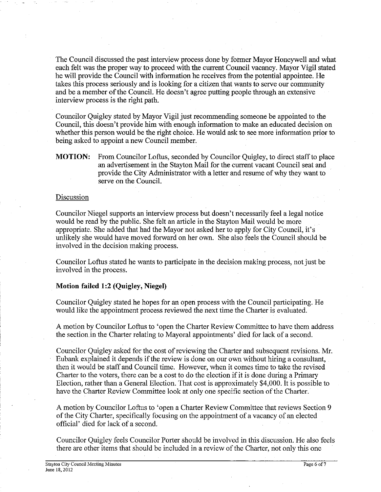The Council discussed the past interview process done by former Mayor Honeywell and what each felt was the proper way to proceed with the current Council vacancy. Mayor Vigil stated he will provide the Council with information he receives from the potential appointee. He takes this process seriously and is looking for a citizen that wants to serve our community and be a member of the Council. He doesn't agree putting people through an extensive interview process is the right path.

Councilor Quigley stated by Mayor Vigil just recommending someone be appointed to the Council, this doesn't provide him with enough information to make an educated decision on whether this person would be the right choice. He would ask to see more information prior to being asked to appoint a new Council member.

**MOTION:** From Councilor Loftus, seconded by Councilor Quigley, to direct staffto place an advertisement in the Stayton Mail for the current vacant Council seat and provide the City Administrator with a letter and resume of why they want to serve on the Council.

#### Discussion

Councilor Niegel supports an interview process but doesn't necessarily feel a legal notice would be read by the public. She felt an article in the Stayton Mail would be more appropriate. She added that had the Mayor not asked her to apply for City Council, it's unlikely she would have moved forward on her own. She also feels the Council should be involved in the decision making process.

Councilor Loftus stated he wants to participate in the decision making process, not just be involved in the process.

### **Motion failed 1:2 (Quigley, Niegel)**

Councilor Quigley stated he hopes for an open process with the Council participating. He would like the appointment process reviewed the next time the Charter is evaluated.

A motion by Councilor Loftus to 'open the Charter Review Committee to have them address the section in the Charter relating to Mayoral appointments' died for lack of a second.

Councilor Quigley asked for the cost of reviewing the Charter and subsequent revisions. Mr. Eubank explained it depends if the review is done on our own without hiring a consultant, then it would be staff and Council time. However, when it comes time to take the revised Charter to the voters, there can be a cost to do the election if it is done during a Primary Election, rather than a General Election. That cost is approximately \$4,000. It is possible to have the Charter Review Committee look at only one specific section of the Charter.

A motion by Councilor Loftus to 'open a Charter Review Committee that reviews Section 9 of the City Charter, specifically focusing on the appointment of a vacancy of an elected official' died for lack of a second.

Councilor Quigley feels Councilor Porter should be involved in this discussion. He also feels there are other items that should be included in a review of the Charter, not only this one